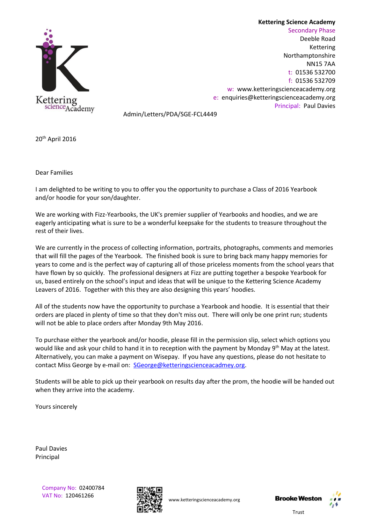## **Kettering Science Academy**



Secondary Phase Deeble Road Kettering Northamptonshire NN15 7AA t: 01536 532700 f: 01536 532709 w: [www.ketteringscienceacademy.org](http://www.ketteringscienceacademy.org/) e: [enquiries@ketteringscienceacademy.org](mailto:enquiries@ketteringscienceacademy.org) Principal: Paul Davies

Admin/Letters/PDA/SGE-FCL4449

20th April 2016

Dear Families

I am delighted to be writing to you to offer you the opportunity to purchase a Class of 2016 Yearbook and/or hoodie for your son/daughter.

We are working with Fizz-Yearbooks, the UK's premier supplier of Yearbooks and hoodies, and we are eagerly anticipating what is sure to be a wonderful keepsake for the students to treasure throughout the rest of their lives.

We are currently in the process of collecting information, portraits, photographs, comments and memories that will fill the pages of the Yearbook. The finished book is sure to bring back many happy memories for years to come and is the perfect way of capturing all of those priceless moments from the school years that have flown by so quickly. The professional designers at Fizz are putting together a bespoke Yearbook for us, based entirely on the school's input and ideas that will be unique to the Kettering Science Academy Leavers of 2016. Together with this they are also designing this years' hoodies.

All of the students now have the opportunity to purchase a Yearbook and hoodie. It is essential that their orders are placed in plenty of time so that they don't miss out. There will only be one print run; students will not be able to place orders after Monday 9th May 2016.

To purchase either the yearbook and/or hoodie, please fill in the permission slip, select which options you would like and ask your child to hand it in to reception with the payment by Monday 9<sup>th</sup> May at the latest. Alternatively, you can make a payment on Wisepay. If you have any questions, please do not hesitate to contact Miss George by e-mail on: [SGeorge@ketteringscienceacadmey.org.](mailto:SGeorge@ketteringscienceacadmey.org)

Students will be able to pick up their yearbook on results day after the prom, the hoodie will be handed out when they arrive into the academy.

Yours sincerely

Paul Davies Principal